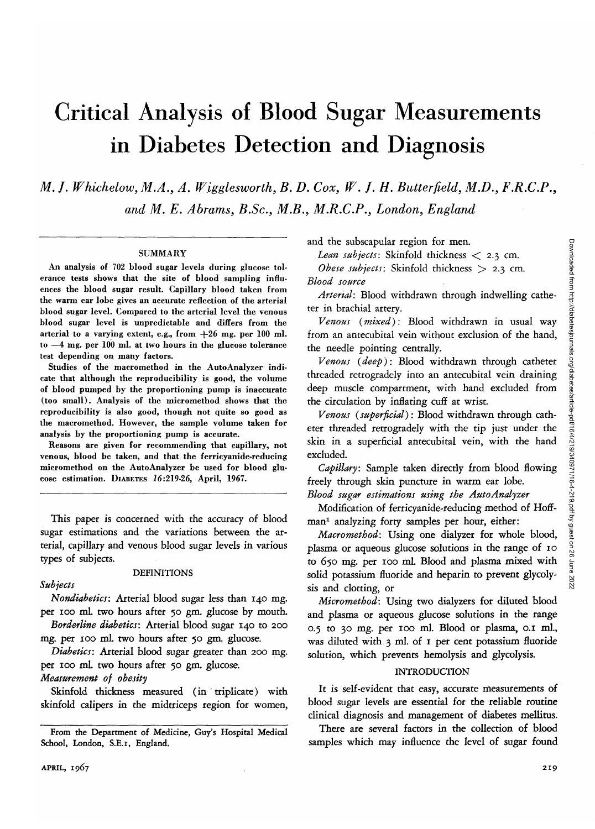# Critical Analysis of Blood Sugar Measurements in Diabetes Detection and Diagnosis

*M. J. Whichelow, M.A., A. Wigglesworth, B. D. Cox, W. J. H. Butterfield, M.D., F.R.C.P., and M. E. Abrams, B.Sc, M.B., M.R.C.P., London, England*

#### SUMMARY

An analysis of 702 blood sugar levels during glucose tolerance tests shows that the site of blood sampling influences the blood sugar result. Capillary blood taken from the warm ear lobe gives an accurate reflection of the arterial blood sugar level. Compared to the arterial level the venous blood sugar level is unpredictable and differs from the arterial to a varying extent, e.g., from  $+26$  mg. per 100 ml. to —4 mg. per 100 ml. at two hours in the glucose tolerance test depending on many factors.

Studies of the macromethod in the AutoAnalyzer indicate that although the reproducibility is good, the volume of blood pumped by the proportioning pump is inaccurate (too small). Analysis of the micromethod shows that the reproducibility is also good, though not quite so good as the macromethod. However, the sample volume taken for analysis by the proportioning pump is accurate.

Reasons are given for recommending that capillary, not venous, blood be taken, and that the ferricyanide-reducing micromethod on the AutoAnalyzer be used for blood glucose estimation. DIABETES *16:219-26,* April, 1967.

This paper is concerned with the accuracy of blood sugar estimations and the variations between the arterial, capillary and venous blood sugar levels in various types of subjects.

### DEFINITIONS

#### *Subjects*

*Nondiabetics:* Arterial blood sugar less than 140 mg. per 100 mL two hours after 50 gm. glucose by mouth. *Borderline diabetics:* Arterial blood sugar 140 to 200

mg. per 100 ml. two hours after 50 gm. glucose.

*Diabetics:* Arterial blood sugar greater than 200 mg. per 100 mL two hours after 50 gm. glucose.

*Measurement of obesity*

Skinfold thickness measured (in ' triplicate) with skinfold calipers in the midtriceps region for women, and the subscapular region for men.

*Lean subjects:* Skinfold thickness < 2.3 cm. *Obese subjects:* Skinfold thickness  $> 2.3$  cm. *Blood source*

*Arterial:* Blood withdrawn through indwelling catheter in brachial artery.

*Venous {mixed):* Blood withdrawn in usual way from an antecubital vein without exclusion of the hand, the needle pointing centrally.

*Venous {deep):* Blood withdrawn through catheter threaded retrogradely into an antecubital vein draining deep muscle compartment, with hand excluded from the circulation by inflating cuff at wrist.

*Venous {superficial) :* Blood withdrawn through catheter threaded retrogradely with the tip just under the skin in a superficial antecubital vein, with the hand excluded.

*Capillary:* Sample taken directly from blood flowing freely through skin puncture in warm ear lobe.

*Blood sugar estimations using the AutoAnalyzer*

Modification of ferricyanide-reducing method of Hoffman<sup>1</sup> analyzing forty samples per hour, either:

*Macromethod:* Using one dialyzer for whole blood, plasma or aqueous glucose solutions in the range of 10 to 650 mg. per 100 ml. Blood and plasma mixed with solid potassium fluoride and heparin to prevent glycolysis and clotting, or

*Micromethod:* Using two dialyzers for diluted blood and plasma or aqueous glucose solutions in the range 0.5 to 30 mg. per 100 ml. Blood or plasma, 0.1 ml., was diluted with 3 ml. of 1 per cent potassium fluoride solution, which prevents hemolysis and glycolysis.

#### INTRODUCTION

It *is* self-evident that easy, accurate measurements of blood sugar levels are essential for the reliable routine clinical diagnosis and management of diabetes mellitus.

There are several factors in the collection of blood samples which may influence the level of sugar found

From the Department of Medicine, Guy's Hospital Medical School, London, S.E.I, England.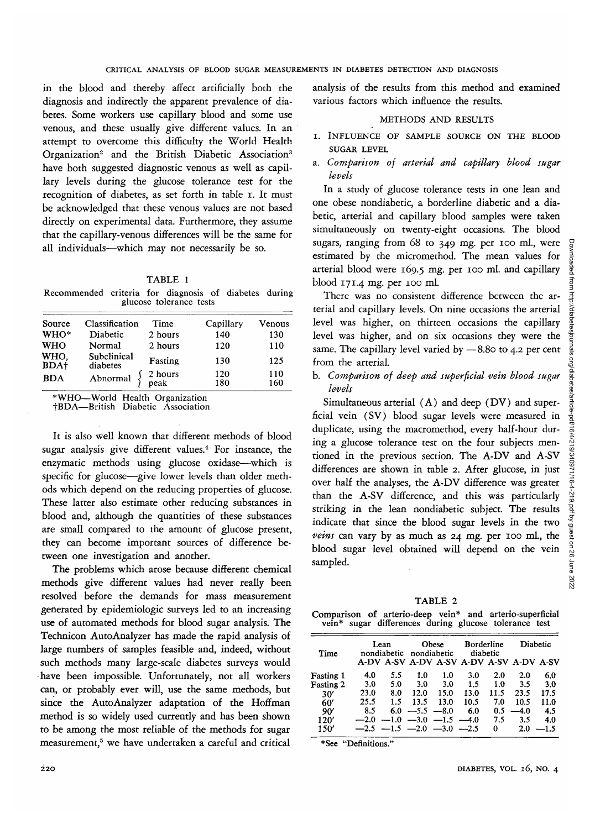in the blood and thereby affect artificially both the diagnosis and indirectly the apparent prevalence of diabetes. Some workers use capillary blood and some use venous, and these usually give different values. In an attempt to overcome this difficulty the World Health Organization<sup>2</sup> and the British Diabetic Association<sup>3</sup> have both suggested diagnostic venous as well as capillary levels during the glucose tolerance test for the recognition of diabetes, as set forth in table I. It must be acknowledged that these venous values are not based directly on experimental data. Furthermore, they assume that the capillary-venous differences will be the same for all individuals—which may not necessarily be so.

### TABLE 1

Recommended criteria for diagnosis of diabetes during glucose tolerance tests

| Source                   | Classification          | Time            | Capillary  | Venous     |
|--------------------------|-------------------------|-----------------|------------|------------|
| WHO*                     | Diabetic                | 2 hours         | 140        | 130        |
| <b>WHO</b>               | Normal                  | 2 hours         | 120        | 110        |
| WHO.<br>BDA <sup>+</sup> | Subclinical<br>diabetes | Fasting         | 130        | 125        |
| <b>BDA</b>               | Abnormal                | 2 hours<br>peak | 120<br>180 | 110<br>160 |

\*WHO—World Health Organization fBDA—British Diabetic Association

It is also well known that different methods of blood sugar analysis *give* different values.<sup>4</sup> For instance, the enzymatic methods using glucose oxidase—which is specific for glucose—*give* lower levels than older methods which depend on the reducing properties of glucose. These latter also estimate other reducing substances in blood and, although the quantities of these substances are small compared to the amount of glucose present, they can become important sources of difference between one investigation and another.

The problems which arose because different chemical methods *give* different values had never really been resolved before the demands for mass measurement generated by epidemiologic surveys led to an increasing use of automated methods for blood sugar analysis. The Technicon AutoAnalyzer has made the rapid analysis of large numbers of samples feasible and, indeed, without such methods many large-scale diabetes surveys would have been impossible. Unfortunately, not all workers can, or probably ever will, use the same methods, but since the AutoAnalyzer adaptation of the Hoffman method is so widely used currently and has been shown to be among the most reliable of the methods for sugar measurement,<sup>5</sup> we have undertaken a careful and critical

analysis of the results from this method and examined various factors which influence the results.

## METHODS AND RESULTS

i. INFLUENCE OF SAMPLE SOURCE ON THE BLOOD SUGAR LEVEL

# a. *Comparison of arterial and capillary blood sugar levels*

In a study of glucose tolerance tests in one lean and one obese nondiabetic, a borderline diabetic and a diabetic, arterial and capillary blood samples were taken simultaneously on twenty-eight occasions. The blood sugars, ranging from 68 to 349 mg. per 100 ml., were estimated by the micromethod. The mean values for arterial blood were 169.5 mg. per 100 ml. and capillar blood 171.4 mg. per 100 ml.

There was no consistent difference between the arterial and capillary levels. On nine occasions the arterial level was higher, on thirteen occasions the capillary level was higher, and on six occasions they were the same. The capillary level varied by —8.80 to 4.2 per cent from the arterial.

# b. *Comparison of deep and superficial vein blood sugar levels*

Simultaneous arterial  $(A)$  and deep  $(DV)$  and superficial vein (SV) blood sugar levels were measured in duplicate, using the macromethod, every half-hour during a glucose tolerance test on the four subjects mentioned in the previous section. The A-DV and A-SV differences are shown in table 2. After glucose, in just over half the analyses, the A-DV difference was greater than the A-SV difference, and this was particularly striking in the lean nondiabetic subject. The results indicate that since the blood sugar levels in the two *veins* can vary by as much as 24 mg. per 100 ml., the blood sugar level obtained will depend on the vein sampled.

| п<br>u<br>× |
|-------------|
|-------------|

|  | Comparison of arterio-deep vein* and arterio-superficial |  |  |
|--|----------------------------------------------------------|--|--|
|  | vein* sugar differences during glucose tolerance test    |  |  |

| Time             |                      | Lean<br>nondiabetic |        | <b>Obese</b><br>nondiabetic | <b>Borderline</b><br>diabetic           |      | Diabetic |        |
|------------------|----------------------|---------------------|--------|-----------------------------|-----------------------------------------|------|----------|--------|
|                  |                      |                     |        |                             | A-DV A-SV A-DV A-SV A-DV A-SV A-DV A-SV |      |          |        |
| <b>Fasting 1</b> | 4.0                  | 5.5                 | 1.0    | 1.0                         | 3.0                                     | 2.0  | 2.0      | 6.0    |
| <b>Fasting 2</b> | 3.0                  | 5.0                 | 3.0    | 3.0                         | 1.5                                     | 1.0  | 3.5      | 3.0    |
| 30'              | 23.0                 | 8.0                 | 12.0   | 15.0                        | 13.0                                    | 11.5 | 23.5     | 17.5   |
| 60'              | 25.5                 | $1.5^{\circ}$       | 13.5   | 13.0                        | 10.5                                    | 7.0  | 10.5     | 11.0   |
| 90               | 8.5                  | 6.0                 | $-5.5$ | $-8.0$                      | 6.0                                     | 0.5  | $-4.0$   | 4.5    |
| 120'             | $-2.0$               | $-1.0$              | $-3.0$ | $-1.5$                      | $-4.0$                                  | 7.5  | 3.5      | 4.0    |
| 150'             | $-2.5$ $-1.5$ $-2.0$ |                     |        | $-3.0$                      | $-2.5$                                  | 0    | 20       | $-1.5$ |

\*See "Definitions.'

June 2022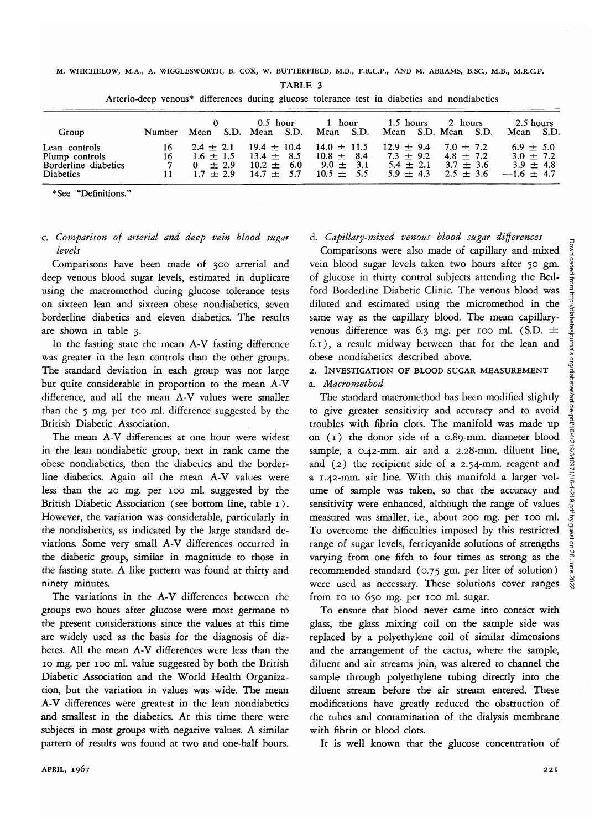M. WHICHELOW, M.A., A. WIGGLESWORTH, B. COX, W. BUTTERFIELD, M.D., F.R.C.P., AND M. ABRAMS, B.SC, M.B., M.R.C.P.

TABLE 3

| Group                                                                       | Number | Mean                                                  | $0.5$ hour<br>S.D. Mean S.D.                                          | 1 hour<br>S.D.<br>Mean                                                 | 1.5 hours<br>Mean S.D. Mean S.D.                              | 2 hours                                                    | 2.5 hours<br>Mean S.D.                                          |
|-----------------------------------------------------------------------------|--------|-------------------------------------------------------|-----------------------------------------------------------------------|------------------------------------------------------------------------|---------------------------------------------------------------|------------------------------------------------------------|-----------------------------------------------------------------|
| Lean controls<br>Plump controls<br>Borderline diabetics<br><b>Diabetics</b> |        | $2.4 + 2.1$<br>$1.6 \pm 1.5$<br>$+2.9$<br>$1.7 + 2.9$ | $19.4 \pm 10.4$<br>$13.4 \pm 8.5$<br>$10.2 \pm 6.0$<br>$14.7 \pm 5.7$ | $14.0 \pm 11.5$<br>$10.8 \pm 8.4$<br>3.1<br>$9.0 +$<br>5.5<br>$10.5 +$ | $12.9 + 9.4$<br>$7.3 \pm 9.2$<br>$5.4 \pm 2.1$<br>$5.9 + 4.3$ | $7.0 + 7.2$<br>$4.8 + 7.2$<br>$3.7 \pm 3.6$<br>$2.5 + 3.6$ | $6.9 \pm 5.0$<br>$3.0 \pm 7.2$<br>$3.9 \pm 4.8$<br>$-1.6 + 4.7$ |

Arterio-deep venous\* differences during glucose tolerance test in diabetics and nondiabetics

\*See "Definitions.'

# c. *Comparison of arterial and deep vein blood sugar levels*

Comparisons have been made of 300 arterial and deep venous blood sugar levels, estimated in duplicate using the macromethod during glucose tolerance tests on sixteen lean and sixteen obese nondiabetics, seven borderline diabetics and eleven diabetics. The results are shown in table 3.

In the fasting state the mean A-V fasting difference was greater in the lean controls than the other groups. The standard deviation in each group was not large but quite considerable in proportion to the mean A-V difference, and all the mean A-V values were smaller than the 5 mg. per 100 ml. difference suggested by the British Diabetic Association.

The mean A-V differences at one hour were widest in the lean nondiabetic group, next in rank came the obese nondiabetics, then the diabetics and the borderline diabetics. Again all the mean A-V values were less than the 20 mg. per 100 ml. suggested by the British Diabetic Association (see bottom line, table 1). However, the variation was considerable, particularly in the nondiabetics, as indicated by the large standard deviations. Some very small A-V differences occurred in the diabetic group, similar in magnitude to those in the fasting state. A like pattern was found at thirty and ninety minutes.

The variations in the A-V differences between the groups two hours after glucose were most germane to the present considerations since the values at this time are widely used as the basis for the diagnosis of diabetes. All the mean A-V differences were less than the 10 mg. per 100 ml. value suggested by both the British Diabetic Association and the World Health Organization, but the variation in values was wide. The mean A-V differences were greatest in the lean nondiabetics and smallest in the diabetics. At this time there were subjects in most groups with negative values. A similar pattern of results was found at two and one-half hours.

# d. *Capillary-mixed venous blood sugar differences*

Comparisons were also made of capillary and mixed vein blood sugar levels taken two hours after 50 gm. of glucose in thirty control subjects attending the Bedford Borderline Diabetic Clinic. The venous blood was diluted and estimated using the micromethod in the same way as the capillary blood. The mean capillaryvenous difference was 6.3 mg. per 100 ml. (S.D. *±* 6.1), a result midway between that for the lean and obese nondiabetics described above.

2. INVESTIGATION OF BLOOD SUGAR MEASUREMENT a. *Macromethod*

The standard macromethod has been modified slightly to give greater sensitivity and accuracy and to avoid troubles with fibrin clots. The manifold was made up on (1) the donor side of a 0.89-mm. diameter blood sample, a 0.42-mm. air and a 2.28-mm. diluent line, and (2) the recipient side of a 2.54-mm. reagent and a 1.42-mm. air line. With this manifold a larger volume of sample was taken, so that the accuracy and sensitivity were enhanced, although the range of values measured was smaller, i.e., about 200 mg. per 100 ml. To overcome the difficulties imposed by this restricted range of sugar levels, ferricyanide solutions of strengths varying from one fifth to four times as strong as the recommended standard (0.75 gm. per liter of solution) were used as necessary. These solutions cover ranges from 10 to 650 mg. per 100 ml. sugar.

To ensure that blood never came into contact with glass, the glass mixing coil on the sample side was replaced by a polyethylene coil of similar dimensions and the arrangement of the cactus, where the sample, diluent and air streams join, was altered to channel the sample through polyethylene tubing directly into the diluent stream before the air stream entered. These modifications have greatly reduced the obstruction of the tubes and contamination of the dialysis membrane with fibrin or blood clots.

It is well known that the glucose concentration of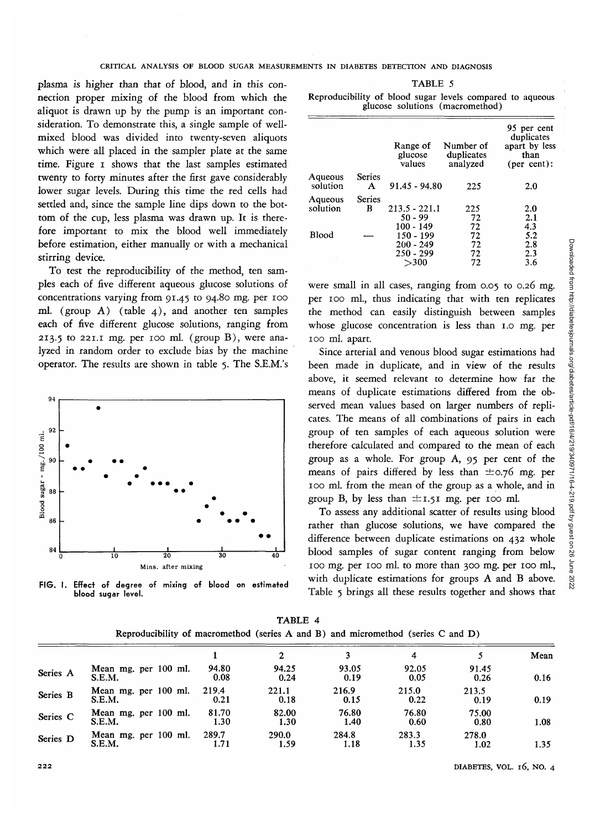plasma is higher than that of blood, and in this connection proper mixing of the blood from which the aliquot is drawn up by the pump is an important consideration. To demonstrate this, a single sample of wellmixed blood was divided into twenty-seven aliquots which were all placed in the sampler plate at the same time. Figure i shows that the last samples estimated twenty to forty minutes after the first gave considerably lower sugar levels. During this time the red cells had settled and, since the sample line dips down to the bottom of the cup, less plasma was drawn up. It is therefore important to mix the blood well immediately before estimation, either manually or with a mechanical stirring device.

To test the reproducibility of the method, ten samples each of five different aqueous glucose solutions of concentrations varying from 91.45 to 94.80 mg. per 100 ml. (group  $A$ ) (table  $4$ ), and another ten samples each of five different glucose solutions, ranging from 213.5 to 221.1 mg. per 100 ml. (group  $B$ ), were analyzed in random order to exclude bias by the machine operator. The results are shown in table 5. The S.E.M.'s



FIG. **I. Effect of degree of mixing of blood on estimated blood sugar level.**

| TABLE 5                                                                                      |
|----------------------------------------------------------------------------------------------|
| Reproducibility of blood sugar levels compared to aqueous<br>glucose solutions (macromethod) |

|                     |                    | Range of<br>glucose<br>values                   | Number of<br>duplicates<br>analyzed | 95 per cent<br>duplicates<br>apart by less<br>than<br>${\rm (per \; cent)}$ : |
|---------------------|--------------------|-------------------------------------------------|-------------------------------------|-------------------------------------------------------------------------------|
| Aqueous<br>solution | <b>Series</b><br>A | 91.45 - 94.80                                   | 225                                 | 2.0                                                                           |
| Aqueous<br>solution | <b>Series</b><br>B | $213.5 - 221.1$<br>$50 - 99$<br>100 - 149       | 225<br>72<br>72                     | 2.0<br>2.1<br>4.3                                                             |
| Blood               |                    | 150 - 199<br>$200 - 249$<br>$250 - 299$<br>>300 | 72<br>72<br>72<br>72                | 5.2<br>2.8<br>2.3<br>3.6                                                      |

were small in all cases, ranging from 0.05 to 0.26 mg. per 100 ml., thus indicating that with ten replicates the method can easily distinguish between samples whose glucose concentration is less than 1.0 mg. per 100 ml. apart.

Since arterial and venous blood sugar estimations had been made in duplicate, and in view of the results above, it seemed relevant to determine how far the means of duplicate estimations differed from the observed mean values based on larger numbers of replicates. The means of all combinations of pairs in each group of ten samples of each aqueous solution were therefore calculated and compared to the mean of each group as a whole. For group A, 95 per cent of the means of pairs differed by less than  $\pm$ 0.76 mg. per 100 ml. from the mean of the group as a whole, and in group B, by less than  $\pm$ 1.51 mg. per 100 ml.

To assess any additional scatter of results using blood rather than glucose solutions, we have compared the difference between duplicate estimations on 432 whole blood samples of sugar content ranging from below 100 mg. per 100 ml. to more than 300 mg. per 100 ml., with duplicate estimations for groups A and B above. Table 5 brings all these results together and shows that

| TABLE 4                                                                                    |  |  |  |  |  |  |  |
|--------------------------------------------------------------------------------------------|--|--|--|--|--|--|--|
| Reproducibility of macromethod (series $A$ and $B$ ) and micromethod (series $C$ and $D$ ) |  |  |  |  |  |  |  |

|          |                                |               |               |               | 4             |               | Mean |
|----------|--------------------------------|---------------|---------------|---------------|---------------|---------------|------|
| Series A | Mean mg. per 100 ml.<br>S.E.M. | 94.80<br>0.08 | 94.25<br>0.24 | 93.05<br>0.19 | 92.05<br>0.05 | 91.45<br>0.26 | 0.16 |
| Series B | Mean mg. per 100 ml.<br>S.E.M. | 219.4<br>0.21 | 221.1<br>0.18 | 216.9<br>0.15 | 215.0<br>0.22 | 213.5<br>0.19 | 0.19 |
| Series C | Mean mg. per 100 ml.<br>S.E.M. | 81.70<br>1.30 | 82.00<br>1.30 | 76.80<br>1.40 | 76.80<br>0.60 | 75.00<br>0.80 | 1.08 |
| Series D | Mean mg. per 100 ml.<br>S.E.M. | 289.7<br>1.71 | 290.0<br>1.59 | 284.8<br>1.18 | 283.3<br>1.35 | 278.0<br>1.02 | 1.35 |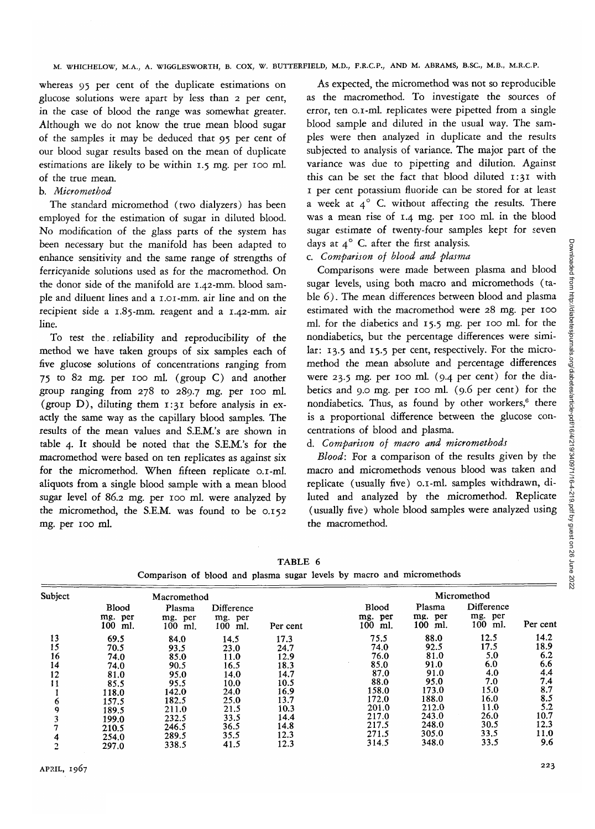whereas 95 per cent of the duplicate estimations on glucose solutions were apart by less than 2 per cent, in the case of blood the range was somewhat greater. Although we do not know the true mean blood sugar of the samples it may be deduced that 95 per cent of our blood sugar results based on the mean of duplicate estimations are likely to be within 1.5 mg. per 100 ml. of the true mean,

## b. *Micromethod*

The standard micromethod (two dialyzers) has been employed for the estimation of sugar in diluted blood. No modification of the glass parts of the system has been necessary but the manifold has been adapted to enhance sensitivity and the same range of strengths of ferricyanide solutions used as for the macromethod. On the donor side of the manifold are 1.42-mm. blood sample and diluent lines and a 1.01-mm. air line and on the recipient side a 1.85-mm. reagent and a 1.42-mm. air line.

To test the. reliability and reproducibility of the method we have taken groups of six samples each of five glucose solutions of concentrations ranging from 75 to 82 mg. per 100 ml. (group C) and another group ranging from 278 to 289.7 mg. per 100 ml (group D), diluting them 1:31 before analysis in exactly the same way as the capillary blood samples. The results of the mean values and S.RM.'s are shown in table 4. It should be noted that the S.E.M.'s for the macromethod were based on ten replicates as against *six* for the micromethod. When fifteen replicate 0.1-ml. aliquots from a single blood sample with a mean blood sugar level of 86.2 mg. per 100 ml. were analyzed by the micromethod, the S.E.M. was found to be 0.152 mg. per 100 ml.

As expected, the micromethod was not so reproducible as the macromethod. To investigate the sources of error, ten 0.1-ml. replicates were pipetted from a single blood sample and diluted in the usual way. The samples were then analyzed in duplicate and the results subjected to analysis of variance. The major part of the variance was due to pipetting and dilution. Against this can be set the fact that blood diluted 1:31 with 1 per cent potassium fluoride can be stored for at least a week at  $4^{\circ}$  C. without affecting the results. There was a mean rise of 1.4 mg. per 100 ml. in the blood sugar estimate of twenty-four samples kept for seven days at  $4^{\circ}$  C. after the first analysis.

## c. *Comparison of blood and plasma*

Comparisons were made between plasma and blood sugar levels, using both macro and micromethods (table 6). The mean differences between blood and plasma estimated with the macromethod were 28 mg. per 100 ml. for the diabetics and 15.5 mg. per 100 ml. for the nondiabetics, but the percentage differences were similar: 13.5 and 15.5 per cent, respectively. For the micromethod the mean absolute and percentage differences were 23.5 mg. per 100 ml. (9.4 per cent) for the diabetics and 9.0 mg. per 100 ml. (9.6 per cent) for the nondiabetics. Thus, as found by other workers,<sup>6</sup> there is a proportional difference between the glucose concentrations of blood and plasma.

# d. *Comparison of macro and micromethods*

*Blood:* For a comparison of the results given by the macro and micromethods venous blood was taken and replicate (usually five) 0.1-ml. samples withdrawn, diluted and analyzed by the micromethod. Replicate (usually five) whole blood samples were analyzed using the macromethod.

TABLE 6

|  |  |  |  |  |  |  |  |  |  | Comparison of blood and plasma sugar levels by macro and micromethods |
|--|--|--|--|--|--|--|--|--|--|-----------------------------------------------------------------------|
|--|--|--|--|--|--|--|--|--|--|-----------------------------------------------------------------------|

| Subject |                                       | Macromethod                     |                                     |          |                                       |                              | Micromethod                         |          |
|---------|---------------------------------------|---------------------------------|-------------------------------------|----------|---------------------------------------|------------------------------|-------------------------------------|----------|
|         | <b>Blood</b><br>mg. per<br>100<br>ml. | Plasma<br>mg. per<br>100<br>ml. | Difference<br>mg. per<br>100<br>ml. | Per cent | <b>Blood</b><br>mg. per<br>100<br>ml. | Plasma<br>mg, per<br>100 ml. | Difference<br>mg. per<br>100<br>ml. | Per cent |
| 13      | 69.5                                  | 84.0                            | 14.5                                | 17.3     | 75.5                                  | 88.0                         | 12.5                                | 14.2     |
| 15      | 70.5                                  | 93.5                            | 23.0                                | 24.7     | 74.0                                  | 92.5                         | 17.5                                | 18.9     |
| 16      | 74.0                                  | 85.0                            | 11.0                                | 12.9     | 76.0                                  | 81.0                         | 5.0                                 | 6.2      |
| 14      | 74.0                                  | 90.5                            | 16.5                                | 18.3     | 85.0                                  | 91.0                         | 6.0                                 | 6.6      |
| 12      | 81.0                                  | 95.0                            | 14.0                                | 14.7     | 87.0                                  | 91.0                         | 4.0                                 | 4.4      |
| 11      | 85.5                                  | 95.5                            | 10.0                                | 10.5     | 88.0                                  | 95.0                         | 7.0                                 | 7.4      |
|         | 118.0                                 | 142.0                           | 24.0                                | 16.9     | 158.0                                 | 173.0                        | 15.0                                | 8.7      |
| 6       | 157.5                                 | 182.5                           | 25.0                                | 13.7     | 172.0                                 | 188.0                        | 16.0                                | 8.5      |
| 9       | 189.5                                 | 211.0                           | 21.5                                | 10.3     | 201.0                                 | 212.0                        | 11.0                                | 5.2      |
|         | 199.0                                 | 232.5                           | 33.5                                | 14.4     | 217.0                                 | 243.0                        | 26.0                                | 10.7     |
|         | 210.5                                 | 246.5                           | 36.5                                | 14.8     | 217.5                                 | 248.0                        | 30.5                                | 12.3     |
|         | 254.0                                 | 289.5                           | 35.5                                | 12.3     | 271.5                                 | 305.0                        | 33.5                                | 11.0     |
|         | 297.0                                 | 338.5                           | 41.5                                | 12.3     | 314.5                                 | 348.0                        | 33.5                                | 9.6      |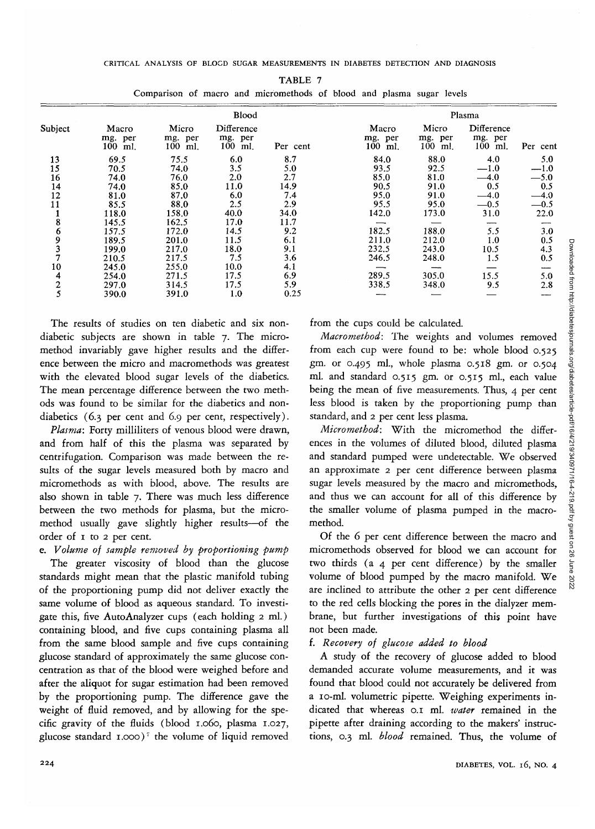CRITICAL ANALYSIS OF BLOCD SUGAR MEASUREMENTS IN DIABETES DETECTION AND DIAGNOSIS TABLE 7

|             |                               |                               | Comparison of macro and micromethods of blood and plasma sugar levels |          |                               |                               |                                    |          |
|-------------|-------------------------------|-------------------------------|-----------------------------------------------------------------------|----------|-------------------------------|-------------------------------|------------------------------------|----------|
|             |                               |                               | <b>Blood</b>                                                          |          |                               |                               | Plasma                             |          |
| Subiect     | Macro<br>mg. per<br>$100$ ml. | Micro<br>mg. per<br>$100$ ml. | Difference<br>mg. per<br>$100$ ml.                                    | Per cent | Macro<br>mg. per<br>$100$ ml. | Micro<br>mg. per<br>$100$ ml. | Difference<br>mg. per<br>$100$ ml. | Per cent |
| 13          | 69.5                          | 75.5                          | 6.0                                                                   | 8.7      | 84.0                          | 88.0                          | 4.0                                | 5.0      |
| 15          | 70.5                          | 74.0                          | 3.5                                                                   | 5.0      | 93.5                          | 92.5                          | $-1.0$                             | $-1.0$   |
| 16          | 74.0                          | 76.0                          | 2.0                                                                   | 2.7      | 85.0                          | 81.0                          | $-4.0$                             | $-5.0$   |
| 14          | 74.0                          | 85.0                          | 11.0                                                                  | 14.9     | 90.5                          | 91.0                          | 0.5                                | 0.5      |
| 12          | 81.0                          | 87.0                          | 6.0                                                                   | 7.4      | 95.0                          | 91.0                          | $-4.0$                             | $-4.0$   |
| 11          | 85.5                          | 88.0                          | 2.5                                                                   | 2.9      | 95.5                          | 95.0                          | $-0.5$                             | $-0.5$   |
|             | 118.0                         | 158.0                         | 40.0                                                                  | 34.0     | 142.0                         | 173.0                         | 31.0                               | 22.0     |
| 8           | 145.5                         | 162.5                         | 17.0                                                                  | 11.7     |                               |                               |                                    |          |
| 6           | 157.5                         | 172.0                         | 14.5                                                                  | 9.2      | 182.5                         | 188.0                         | 5.5                                | 3.0      |
| 9           | 189.5                         | 201.0                         | 11.5                                                                  | 6.1      | 211.0                         | 212.0                         | 1.0                                | 0.5      |
|             | 199.0                         | 217.0                         | 18.0                                                                  | 9.1      | 232.5                         | 243.0                         | 10.5                               | 4.3      |
|             | 210.5                         | 217.5                         | 7.5                                                                   | 3.6      | 246.5                         | 248.0                         | 1.5                                | 0.5      |
| 10          | 245.0                         | 255.0                         | 10.0                                                                  | 4.1      |                               |                               |                                    |          |
| 4           | 254.0                         | 271.5                         | 17.5                                                                  | 6.9      | 289.5                         | 305.0                         | 15.5                               | 5.0      |
|             | 297.0                         | 314.5                         | 17.5                                                                  | 5.9      | 338.5                         | 348.0                         | 9.5                                | 2.8      |
| $rac{2}{5}$ | 390.0                         | 391.0                         | 1.0                                                                   | 0.25     |                               |                               |                                    |          |

The results of studies on ten diabetic and six nondiabetic subjects are shown in table 7. The micromethod invariably gave higher results and the difference between the micro and macromethods was greatest with the elevated blood sugar levels of the diabetics. The mean percentage difference between the two methods was found to be similar for the diabetics and nondiabetics (6.3 per cent and 6.9 per cent, respectively).

*Plasma:* Forty milliliters of venous blood were drawn, and from half of this the plasma was separated by centrifugation. Comparison was made between the results of the sugar levels measured both by macro and micromethods as with blood, above. The results are also shown in table 7. There was much less difference between the two methods for plasma, but the micromethod usually gave slightly higher results—of the order of 1 to 2 per cent.

e. *Volume of sample removed by proportioning pump* The greater viscosity of blood than the glucose standards might mean that the plastic manifold tubing of the proportioning pump did not deliver exactly the same volume of blood as aqueous standard. To investigate this, five AutoAnalyzer cups (each holding 2 ml.) containing blood, and five cups containing plasma all from the same blood sample and five cups containing glucose standard of approximately the same glucose concentration as that of the blood were weighed before and after the aliquot for sugar estimation had been removed by the proportioning pump. The difference gave the weight of fluid removed, and by allowing for the specific gravity of the fluids (blood 1.060, plasma 1.027, glucose standard  $1.000$ <sup>7</sup> the volume of liquid removed

from the cups could be calculated.

*Macromethod:* The weights and volumes removed from each cup were found to be: whole blood 0.525 gm. or 0.495 ml., whole plasma 0.518 gm. or 0.504 ml. and standard 0.515 gm. or 0.515 ml., each value being the mean of five measurements. Thus, 4 per cent less blood is taken by the proportioning pump than standard, and 2 per cent less plasma.

*Micromethod:* With the micromethod the differences in the volumes of diluted blood, diluted plasma and standard pumped were undetectable. We observed an approximate 2 per cent difference between plasma sugar levels measured by the macro and micromethods, and thus we can account for all of this difference by the smaller volume of plasma pumped in the macromethod.

Of the 6 per cent difference between the macro and micromethods observed for blood we can account for two thirds (a 4 per cent difference) by the smaller volume of blood pumped by the macro manifold. We are inclined to attribute the other 2 per cent difference to the red cells blocking the pores in the dialyzer membrane, but further investigations of this point have not been made,

# f. *Recovery of glucose added to blood*

A study of the recovery of glucose added to blood demanded accurate volume measurements, and it was found that blood could not accurately be delivered from a 10-ml. volumetric pipette. Weighing experiments indicated that whereas 0.1 ml. *ivater* remained in the pipette after draining according to the makers' instructions, 0.3 ml. *blood* remained. Thus, the volume of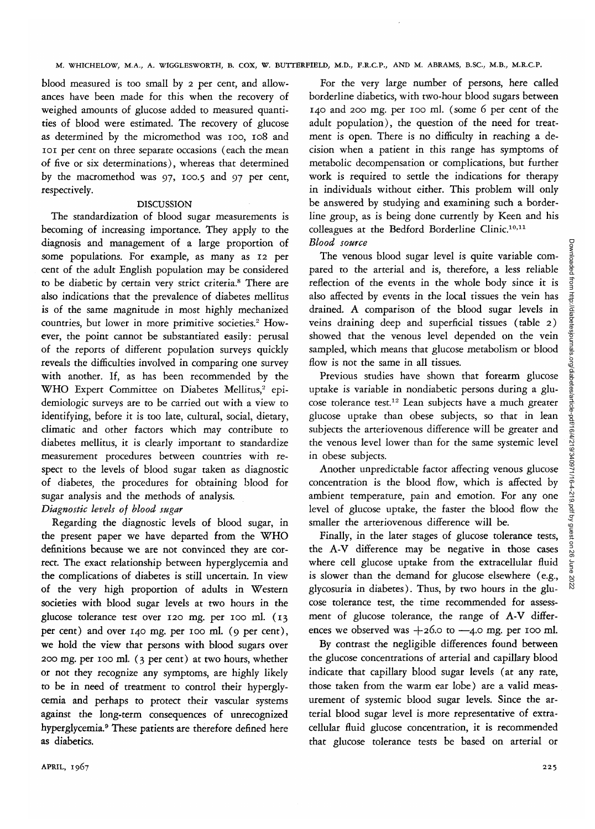blood measured is too small by 2 per cent, and allowances have been made for this when the recovery of weighed amounts of glucose added to measured quantities of blood were estimated. The recovery of glucose as determined by the micromethod was 100, 108 and 101 per cent on three separate occasions (each the mean of five or six determinations), whereas that determined by the macromethod was  $97$ ,  $100.5$  and  $97$  per cent, respectively.

## DISCUSSION

The standardization of blood sugar measurements is becoming of increasing importance. They apply to the diagnosis and management of a large proportion of some populations. For example, as many as 12 per cent of the adult English population may be considered to be diabetic by certain very strict criteria.8 There are also indications that the prevalence of diabetes mellitus is of the same magnitude in most highly mechanized countries, but lower in more primitive societies.<sup>2</sup> However, the point cannot be substantiated easily: perusal of the reports of different population surveys quickly reveals the difficulties involved in comparing one survey with another. If, as has been recommended by the WHO Expert Committee on Diabetes Mellitus,<sup>2</sup> epidemiologic surveys are to be carried out with a view to identifying, before it is too late, cultural, social, dietary, climatic and other factors which may contribute to diabetes mellitus, it is clearly important to standardize measurement procedures between countries with respect to the levels of blood sugar taken as diagnostic of diabetes, the procedures for obtaining blood for sugar analysis and the methods of analysis.

# *Diagnostic levels of blood sugar*

Regarding the diagnostic levels of blood sugar, in the present paper we have departed from the WHO definitions because we are not convinced they are correct. The exact relationship between hyperglycemia and the complications of diabetes *is* still uncertain. In view of the very high proportion of adults in Western societies with blood sugar levels at two hours in the glucose tolerance test over 120 mg. per 100 ml. (13 per cent) and over 140 mg. per 100 ml. (9 per cent), we hold the view that persons with blood sugars over 200 mg. per 100 ml. (3 per cent) at two hours, whether or not they recognize any symptoms, are highly likely to be in need of treatment to control their hyperglycemia and perhaps to protect their vascular systems against the long-term consequences of unrecognized against the forg-term consequences or unrecognized as diabetics.

For the very large number of persons, here called borderline diabetics, with two-hour blood sugars between 140 and 200 mg. per 100 ml. (some 6 per cent of the adult population), the question of the need for treatment is open. There is no difficulty in reaching a decision when a patient in this range has symptoms of metabolic decompensation or complications, but further work is required to settle the indications for therapy in individuals without either. This problem will only be answered by studying and examining such a borderline group, as is being done currently by Keen and his colleagues at the Bedford Borderline Clinic.<sup>10,11</sup> *Blood source*

The venous blood sugar level is quite variable compared to the arterial and is, therefore, a less reliable reflection of the events in the whole body since it is also affected by events in the local tissues the vein has drained. A comparison of the blood sugar levels in veins draining deep and superficial tissues (table 2) showed that the venous level depended on the vein sampled, which means that glucose metabolism or blood flow is not the same in all tissues.

Previous studies have shown that forearm glucose uptake *is* variable in nondiabetic persons during a glucose tolerance test.<sup>12</sup> Lean subjects have a much greater glucose uptake than obese subjects, so that in lean subjects the arteriovenous difference will be greater and the venous level lower than for the same systemic level in obese subjects.

Another unpredictable factor affecting venous glucose concentration is the blood flow, which is affected by ambient temperature, pain and emotion. For any one level of glucose uptake, the faster the blood flow the smaller the arteriovenous difference will be.

Finally, in the later stages of glucose tolerance tests, the A-V difference may be negative in those cases where cell glucose uptake from the extracellular fluid is slower than the demand for glucose elsewhere (e.g., glycosuria in diabetes). Thus, by two hours in the glucose tolerance test, the time recommended for assessment of glucose tolerance, the range of A-V differences we observed was  $+26.0$  to  $-4.0$  mg. per 100 ml.

By contrast the negligible differences found between the glucose concentrations of arterial and capillary blood indicate that capillary blood sugar levels (at any rate, those taken from the warm ear lobe) are a valid measurement of systemic blood sugar levels. Since the arterial blood sugar level is more representative of extracellular fluid glucose concentration, it is recommended that glucose tolerance tests be based on arterial or